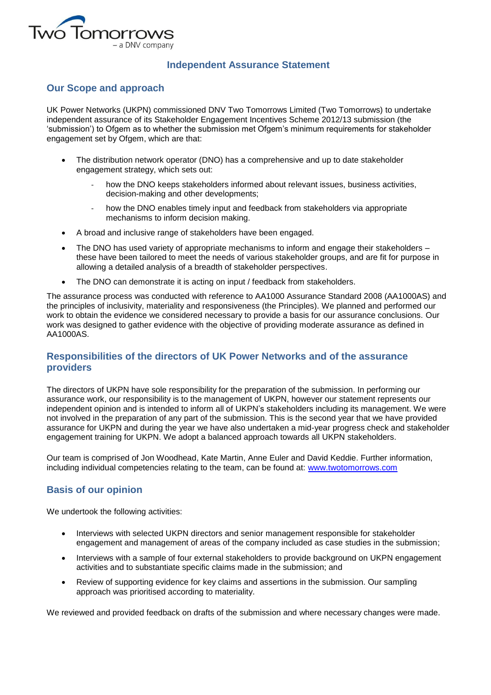

# **Independent Assurance Statement**

### **Our Scope and approach**

UK Power Networks (UKPN) commissioned DNV Two Tomorrows Limited (Two Tomorrows) to undertake independent assurance of its Stakeholder Engagement Incentives Scheme 2012/13 submission (the 'submission') to Ofgem as to whether the submission met Ofgem's minimum requirements for stakeholder engagement set by Ofgem, which are that:

- The distribution network operator (DNO) has a comprehensive and up to date stakeholder engagement strategy, which sets out:
	- how the DNO keeps stakeholders informed about relevant issues, business activities, decision-making and other developments;
	- how the DNO enables timely input and feedback from stakeholders via appropriate mechanisms to inform decision making.
- A broad and inclusive range of stakeholders have been engaged.
- The DNO has used variety of appropriate mechanisms to inform and engage their stakeholders these have been tailored to meet the needs of various stakeholder groups, and are fit for purpose in allowing a detailed analysis of a breadth of stakeholder perspectives.
- The DNO can demonstrate it is acting on input / feedback from stakeholders.

The assurance process was conducted with reference to AA1000 Assurance Standard 2008 (AA1000AS) and the principles of inclusivity, materiality and responsiveness (the Principles). We planned and performed our work to obtain the evidence we considered necessary to provide a basis for our assurance conclusions. Our work was designed to gather evidence with the objective of providing moderate assurance as defined in AA1000AS.

## **Responsibilities of the directors of UK Power Networks and of the assurance providers**

The directors of UKPN have sole responsibility for the preparation of the submission. In performing our assurance work, our responsibility is to the management of UKPN, however our statement represents our independent opinion and is intended to inform all of UKPN's stakeholders including its management. We were not involved in the preparation of any part of the submission. This is the second year that we have provided assurance for UKPN and during the year we have also undertaken a mid-year progress check and stakeholder engagement training for UKPN. We adopt a balanced approach towards all UKPN stakeholders.

Our team is comprised of Jon Woodhead, Kate Martin, Anne Euler and David Keddie. Further information, including individual competencies relating to the team, can be found at: [www.twotomorrows.com](http://www.twotomorrows.com/)

# **Basis of our opinion**

We undertook the following activities:

- Interviews with selected UKPN directors and senior management responsible for stakeholder engagement and management of areas of the company included as case studies in the submission;
- Interviews with a sample of four external stakeholders to provide background on UKPN engagement activities and to substantiate specific claims made in the submission; and
- Review of supporting evidence for key claims and assertions in the submission. Our sampling approach was prioritised according to materiality.

We reviewed and provided feedback on drafts of the submission and where necessary changes were made.